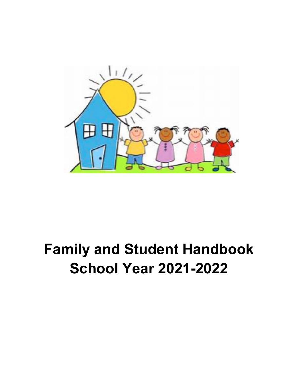

# **Family and Student Handbook School Year 2021-2022**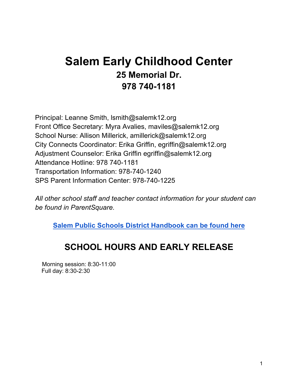### **Salem Early Childhood Center 25 Memorial Dr. 978 740-1181**

Principal: Leanne Smith, lsmith@salemk12.org Front Office Secretary: Myra Avalies, maviles@salemk12.org School Nurse: Allison Millerick, amillerick@salemk12.org City Connects Coordinator: Erika Griffin, egriffin@salemk12.org Adjustment Counselor: Erika Griffin egriffin@salemk12.org Attendance Hotline: 978 740-1181 Transportation Information: 978-740-1240 SPS Parent Information Center: 978-740-1225

*All other school staff and teacher contact information for your student can be found in ParentSquare.*

**Salem Public Schools District Handbook can be found here**

### **SCHOOL HOURS AND EARLY RELEASE**

Morning session: 8:30-11:00 Full day: 8:30-2:30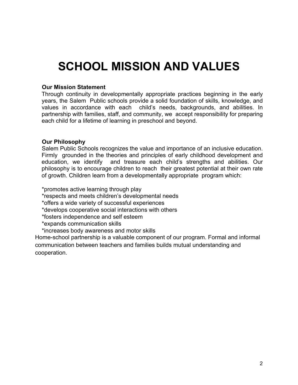## **SCHOOL MISSION AND VALUES**

#### **Our Mission Statement**

Through continuity in developmentally appropriate practices beginning in the early years, the Salem Public schools provide a solid foundation of skills, knowledge, and values in accordance with each child's needs, backgrounds, and abilities. In partnership with families, staff, and community, we accept responsibility for preparing each child for a lifetime of learning in preschool and beyond.

#### **Our Philosophy**

Salem Public Schools recognizes the value and importance of an inclusive education. Firmly grounded in the theories and principles of early childhood development and education, we identify and treasure each child's strengths and abilities. Our philosophy is to encourage children to reach their greatest potential at their own rate of growth. Children learn from a developmentally appropriate program which:

\*promotes active learning through play

\*respects and meets children's developmental needs

\*offers a wide variety of successful experiences

\*develops cooperative social interactions with others

\*fosters independence and self esteem

\*expands communication skills

\*increases body awareness and motor skills

Home-school partnership is a valuable component of our program. Formal and informal communication between teachers and families builds mutual understanding and cooperation.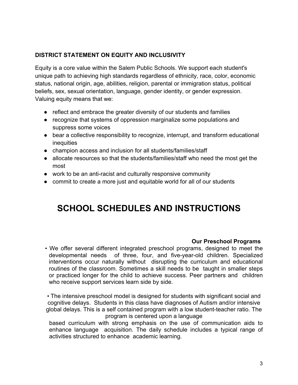#### **DISTRICT STATEMENT ON EQUITY AND INCLUSIVITY**

Equity is a core value within the Salem Public Schools. We support each student's unique path to achieving high standards regardless of ethnicity, race, color, economic status, national origin, age, abilities, religion, parental or immigration status, political beliefs, sex, sexual orientation, language, gender identity, or gender expression. Valuing equity means that we:

- reflect and embrace the greater diversity of our students and families
- recognize that systems of oppression marginalize some populations and suppress some voices
- bear a collective responsibility to recognize, interrupt, and transform educational inequities
- champion access and inclusion for all students/families/staff
- allocate resources so that the students/families/staff who need the most get the most
- work to be an anti-racist and culturally responsive community
- commit to create a more just and equitable world for all of our students

### **SCHOOL SCHEDULES AND INSTRUCTIONS**

#### **Our Preschool Programs**

• We offer several different integrated preschool programs, designed to meet the developmental needs of three, four, and five-year-old children. Specialized interventions occur naturally without disrupting the curriculum and educational routines of the classroom. Sometimes a skill needs to be taught in smaller steps or practiced longer for the child to achieve success. Peer partners and children who receive support services learn side by side.

• The intensive preschool model is designed for students with significant social and cognitive delays. Students in this class have diagnoses of Autism and/or intensive global delays. This is a self contained program with a low student-teacher ratio. The program is centered upon a language

based curriculum with strong emphasis on the use of communication aids to enhance language acquisition. The daily schedule includes a typical range of activities structured to enhance academic learning.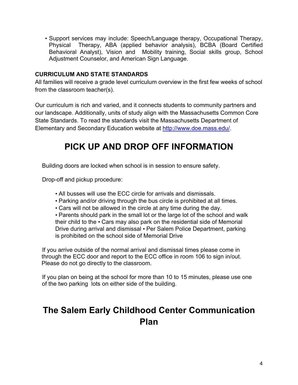• Support services may include: Speech/Language therapy, Occupational Therapy, Physical Therapy, ABA (applied behavior analysis), BCBA (Board Certified Behavioral Analyst), Vision and Mobility training, Social skills group, School Adjustment Counselor, and American Sign Language.

#### **CURRICULUM AND STATE STANDARDS**

All families will receive a grade level curriculum overview in the first few weeks of school from the classroom teacher(s).

Our curriculum is rich and varied, and it connects students to community partners and our landscape. Additionally, units of study align with the Massachusetts Common Core State Standards. To read the standards visit the Massachusetts Department of Elementary and Secondary Education website at http://www.doe.mass.edu/.

### **PICK UP AND DROP OFF INFORMATION**

Building doors are locked when school is in session to ensure safety.

Drop-off and pickup procedure:

- All busses will use the ECC circle for arrivals and dismissals.
- Parking and/or driving through the bus circle is prohibited at all times.
- Cars will not be allowed in the circle at any time during the day.

• Parents should park in the small lot or the large lot of the school and walk their child to the • Cars may also park on the residential side of Memorial Drive during arrival and dismissal • Per Salem Police Department, parking is prohibited on the school side of Memorial Drive

If you arrive outside of the normal arrival and dismissal times please come in through the ECC door and report to the ECC office in room 106 to sign in/out. Please do not go directly to the classroom.

If you plan on being at the school for more than 10 to 15 minutes, please use one of the two parking lots on either side of the building.

### **The Salem Early Childhood Center Communication Plan**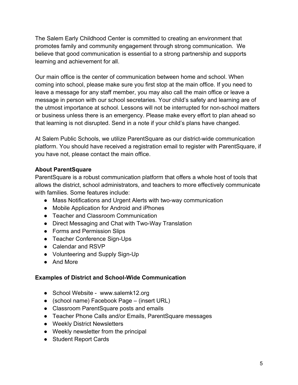The Salem Early Childhood Center is committed to creating an environment that promotes family and community engagement through strong communication. We believe that good communication is essential to a strong partnership and supports learning and achievement for all.

Our main office is the center of communication between home and school. When coming into school, please make sure you first stop at the main office. If you need to leave a message for any staff member, you may also call the main office or leave a message in person with our school secretaries. Your child's safety and learning are of the utmost importance at school. Lessons will not be interrupted for non-school matters or business unless there is an emergency. Please make every effort to plan ahead so that learning is not disrupted. Send in a note if your child's plans have changed.

At Salem Public Schools, we utilize ParentSquare as our district-wide communication platform. You should have received a registration email to register with ParentSquare, if you have not, please contact the main office.

#### **About ParentSquare**

ParentSquare is a robust communication platform that offers a whole host of tools that allows the district, school administrators, and teachers to more effectively communicate with families. Some features include:

- Mass Notifications and Urgent Alerts with two-way communication
- Mobile Application for Android and iPhones
- Teacher and Classroom Communication
- Direct Messaging and Chat with Two-Way Translation
- Forms and Permission Slips
- Teacher Conference Sign-Ups
- Calendar and RSVP
- Volunteering and Supply Sign-Up
- And More

#### **Examples of District and School-Wide Communication**

- School Website www.salemk12.org
- (school name) Facebook Page (insert URL)
- Classroom ParentSquare posts and emails
- Teacher Phone Calls and/or Emails, ParentSquare messages
- Weekly District Newsletters
- Weekly newsletter from the principal
- Student Report Cards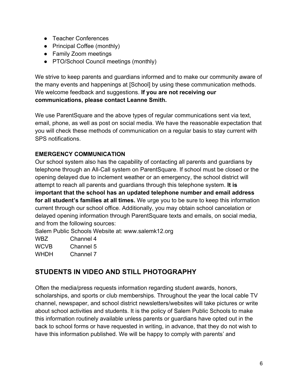- Teacher Conferences
- Principal Coffee (monthly)
- Family Zoom meetings
- PTO/School Council meetings (monthly)

We strive to keep parents and guardians informed and to make our community aware of the many events and happenings at [School] by using these communication methods. We welcome feedback and suggestions. **If you are not receiving our communications, please contact Leanne Smith.**

We use ParentSquare and the above types of regular communications sent via text, email, phone, as well as post on social media. We have the reasonable expectation that you will check these methods of communication on a regular basis to stay current with SPS notifications.

#### **EMERGENCY COMMUNICATION**

Our school system also has the capability of contacting all parents and guardians by telephone through an All-Call system on ParentSquare. If school must be closed or the opening delayed due to inclement weather or an emergency, the school district will attempt to reach all parents and guardians through this telephone system. **It is important that the school has an updated telephone number and email address for all student's families at all times.** We urge you to be sure to keep this information current through our school office. Additionally, you may obtain school cancelation or delayed opening information through ParentSquare texts and emails, on social media, and from the following sources:

Salem Public Schools Website at: www.salemk12.org

| WBZ.        | Channel 4 |
|-------------|-----------|
| <b>WCVB</b> | Channel 5 |
| WHDH        | Channel 7 |

#### **STUDENTS IN VIDEO AND STILL PHOTOGRAPHY**

Often the media/press requests information regarding student awards, honors, scholarships, and sports or club memberships. Throughout the year the local cable TV channel, newspaper, and school district newsletters/websites will take pictures or write about school activities and students. It is the policy of Salem Public Schools to make this information routinely available unless parents or guardians have opted out in the back to school forms or have requested in writing, in advance, that they do not wish to have this information published. We will be happy to comply with parents' and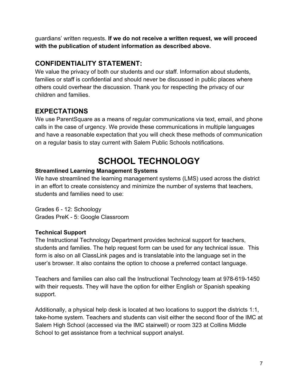guardians' written requests. **If we do not receive a written request, we will proceed with the publication of student information as described above.**

#### **CONFIDENTIALITY STATEMENT:**

We value the privacy of both our students and our staff. Information about students, families or staff is confidential and should never be discussed in public places where others could overhear the discussion. Thank you for respecting the privacy of our children and families.

#### **EXPECTATIONS**

We use ParentSquare as a means of regular communications via text, email, and phone calls in the case of urgency. We provide these communications in multiple languages and have a reasonable expectation that you will check these methods of communication on a regular basis to stay current with Salem Public Schools notifications.

### **SCHOOL TECHNOLOGY**

#### **Streamlined Learning Management Systems**

We have streamlined the learning management systems (LMS) used across the district in an effort to create consistency and minimize the number of systems that teachers, students and families need to use:

Grades 6 - 12: Schoology Grades PreK - 5: Google Classroom

#### **Technical Support**

The Instructional Technology Department provides technical support for teachers, students and families. The help request form can be used for any technical issue. This form is also on all ClassLink pages and is translatable into the language set in the user's browser. It also contains the option to choose a preferred contact language.

Teachers and families can also call the Instructional Technology team at 978-619-1450 with their requests. They will have the option for either English or Spanish speaking support.

Additionally, a physical help desk is located at two locations to support the districts 1:1, take-home system. Teachers and students can visit either the second floor of the IMC at Salem High School (accessed via the IMC stairwell) or room 323 at Collins Middle School to get assistance from a technical support analyst.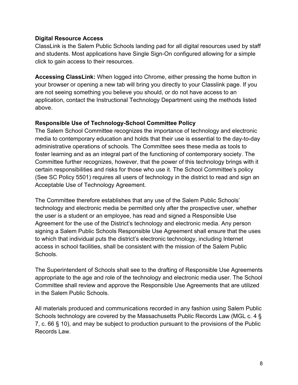#### **Digital Resource Access**

ClassLink is the Salem Public Schools landing pad for all digital resources used by staff and students. Most applications have Single Sign-On configured allowing for a simple click to gain access to their resources.

**Accessing ClassLink:** When logged into Chrome, either pressing the home button in your browser or opening a new tab will bring you directly to your Classlink page. If you are not seeing something you believe you should, or do not have access to an application, contact the Instructional Technology Department using the methods listed above.

#### **Responsible Use of Technology-School Committee Policy**

The Salem School Committee recognizes the importance of technology and electronic media to contemporary education and holds that their use is essential to the day-to-day administrative operations of schools. The Committee sees these media as tools to foster learning and as an integral part of the functioning of contemporary society. The Committee further recognizes, however, that the power of this technology brings with it certain responsibilities and risks for those who use it. The School Committee's policy (See SC Policy 5501) requires all users of technology in the district to read and sign an Acceptable Use of Technology Agreement.

The Committee therefore establishes that any use of the Salem Public Schools' technology and electronic media be permitted only after the prospective user, whether the user is a student or an employee, has read and signed a Responsible Use Agreement for the use of the District's technology and electronic media. Any person signing a Salem Public Schools Responsible Use Agreement shall ensure that the uses to which that individual puts the district's electronic technology, including Internet access in school facilities, shall be consistent with the mission of the Salem Public Schools.

The Superintendent of Schools shall see to the drafting of Responsible Use Agreements appropriate to the age and role of the technology and electronic media user. The School Committee shall review and approve the Responsible Use Agreements that are utilized in the Salem Public Schools.

All materials produced and communications recorded in any fashion using Salem Public Schools technology are covered by the Massachusetts Public Records Law (MGL c. 4 § 7, c. 66 § 10), and may be subject to production pursuant to the provisions of the Public Records Law.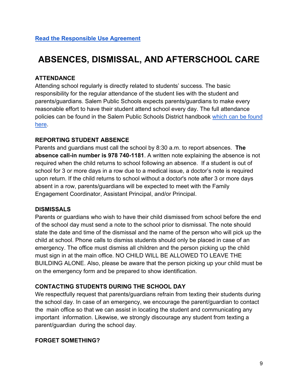### **ABSENCES, DISMISSAL, AND AFTERSCHOOL CARE**

#### **ATTENDANCE**

Attending school regularly is directly related to students' success. The basic responsibility for the regular attendance of the student lies with the student and parents/guardians. Salem Public Schools expects parents/guardians to make every reasonable effort to have their student attend school every day. The full attendance policies can be found in the Salem Public Schools District handbook which can be found here.

#### **REPORTING STUDENT ABSENCE**

Parents and guardians must call the school by 8:30 a.m. to report absences. **The absence call-in number is 978 740-1181**. A written note explaining the absence is not required when the child returns to school following an absence. If a student is out of school for 3 or more days in a row due to a medical issue, a doctor's note is required upon return. If the child returns to school without a doctor's note after 3 or more days absent in a row, parents/guardians will be expected to meet with the Family Engagement Coordinator, Assistant Principal, and/or Principal.

#### **DISMISSALS**

Parents or guardians who wish to have their child dismissed from school before the end of the school day must send a note to the school prior to dismissal. The note should state the date and time of the dismissal and the name of the person who will pick up the child at school. Phone calls to dismiss students should only be placed in case of an emergency. The office must dismiss all children and the person picking up the child must sign in at the main office. NO CHILD WILL BE ALLOWED TO LEAVE THE BUILDING ALONE. Also, please be aware that the person picking up your child must be on the emergency form and be prepared to show identification.

#### **CONTACTING STUDENTS DURING THE SCHOOL DAY**

We respectfully request that parents/guardians refrain from texting their students during the school day. In case of an emergency, we encourage the parent/guardian to contact the main office so that we can assist in locating the student and communicating any important information. Likewise, we strongly discourage any student from texting a parent/guardian during the school day.

#### **FORGET SOMETHING?**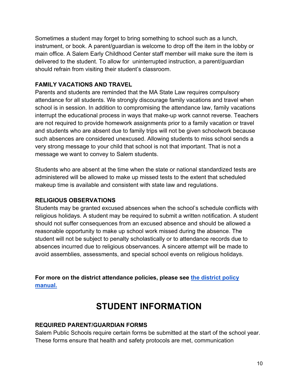Sometimes a student may forget to bring something to school such as a lunch, instrument, or book. A parent/guardian is welcome to drop off the item in the lobby or main office. A Salem Early Childhood Center staff member will make sure the item is delivered to the student. To allow for uninterrupted instruction, a parent/guardian should refrain from visiting their student's classroom.

#### **FAMILY VACATIONS AND TRAVEL**

Parents and students are reminded that the MA State Law requires compulsory attendance for all students. We strongly discourage family vacations and travel when school is in session. In addition to compromising the attendance law, family vacations interrupt the educational process in ways that make-up work cannot reverse. Teachers are not required to provide homework assignments prior to a family vacation or travel and students who are absent due to family trips will not be given schoolwork because such absences are considered unexcused. Allowing students to miss school sends a very strong message to your child that school is not that important. That is not a message we want to convey to Salem students.

Students who are absent at the time when the state or national standardized tests are administered will be allowed to make up missed tests to the extent that scheduled makeup time is available and consistent with state law and regulations.

#### **RELIGIOUS OBSERVATIONS**

Students may be granted excused absences when the school's schedule conflicts with religious holidays. A student may be required to submit a written notification. A student should not suffer consequences from an excused absence and should be allowed a reasonable opportunity to make up school work missed during the absence. The student will not be subject to penalty scholastically or to attendance records due to absences incurred due to religious observances. A sincere attempt will be made to avoid assemblies, assessments, and special school events on religious holidays.

**For more on the district attendance policies, please see the district policy manual.**

### **STUDENT INFORMATION**

#### **REQUIRED PARENT/GUARDIAN FORMS**

Salem Public Schools require certain forms be submitted at the start of the school year. These forms ensure that health and safety protocols are met, communication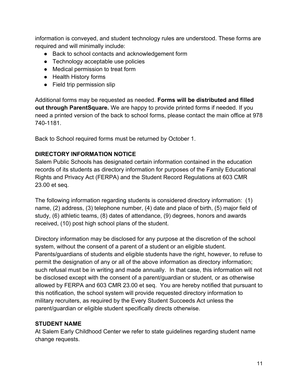information is conveyed, and student technology rules are understood. These forms are required and will minimally include:

- Back to school contacts and acknowledgement form
- Technology acceptable use policies
- Medical permission to treat form
- Health History forms
- Field trip permission slip

Additional forms may be requested as needed. **Forms will be distributed and filled out through ParentSquare.** We are happy to provide printed forms if needed. If you need a printed version of the back to school forms, please contact the main office at 978 740-1181.

Back to School required forms must be returned by October 1.

#### **DIRECTORY INFORMATION NOTICE**

Salem Public Schools has designated certain information contained in the education records of its students as directory information for purposes of the Family Educational Rights and Privacy Act (FERPA) and the Student Record Regulations at 603 CMR 23.00 et seq.

The following information regarding students is considered directory information: (1) name, (2) address, (3) telephone number, (4) date and place of birth, (5) major field of study, (6) athletic teams, (8) dates of attendance, (9) degrees, honors and awards received, (10) post high school plans of the student.

Directory information may be disclosed for any purpose at the discretion of the school system, without the consent of a parent of a student or an eligible student. Parents/guardians of students and eligible students have the right, however, to refuse to permit the designation of any or all of the above information as directory information; such refusal must be in writing and made annually. In that case, this information will not be disclosed except with the consent of a parent/guardian or student, or as otherwise allowed by FERPA and 603 CMR 23.00 et seq. You are hereby notified that pursuant to this notification, the school system will provide requested directory information to military recruiters, as required by the Every Student Succeeds Act unless the parent/guardian or eligible student specifically directs otherwise.

#### **STUDENT NAME**

At Salem Early Childhood Center we refer to state guidelines regarding student name change requests.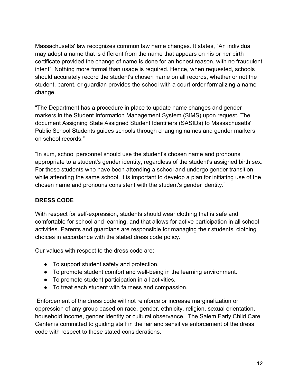Massachusetts' law recognizes common law name changes. It states, "An individual may adopt a name that is different from the name that appears on his or her birth certificate provided the change of name is done for an honest reason, with no fraudulent intent". Nothing more formal than usage is required. Hence, when requested, schools should accurately record the student's chosen name on all records, whether or not the student, parent, or guardian provides the school with a court order formalizing a name change.

"The Department has a procedure in place to update name changes and gender markers in the Student Information Management System (SIMS) upon request. The document Assigning State Assigned Student Identifiers (SASIDs) to Massachusetts' Public School Students guides schools through changing names and gender markers on school records."

"In sum, school personnel should use the student's chosen name and pronouns appropriate to a student's gender identity, regardless of the student's assigned birth sex. For those students who have been attending a school and undergo gender transition while attending the same school, it is important to develop a plan for initiating use of the chosen name and pronouns consistent with the student's gender identity."

#### **DRESS CODE**

With respect for self-expression, students should wear clothing that is safe and comfortable for school and learning, and that allows for active participation in all school activities. Parents and guardians are responsible for managing their students' clothing choices in accordance with the stated dress code policy.

Our values with respect to the dress code are:

- To support student safety and protection.
- To promote student comfort and well-being in the learning environment.
- To promote student participation in all activities.
- To treat each student with fairness and compassion.

 Enforcement of the dress code will not reinforce or increase marginalization or oppression of any group based on race, gender, ethnicity, religion, sexual orientation, household income, gender identity or cultural observance. The Salem Early Child Care Center is committed to guiding staff in the fair and sensitive enforcement of the dress code with respect to these stated considerations.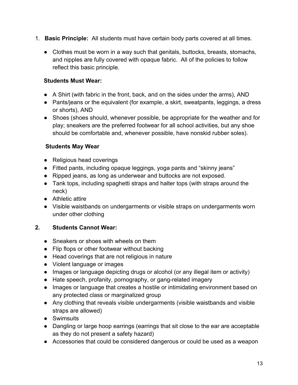- 1. **Basic Principle:** All students must have certain body parts covered at all times.
	- Clothes must be worn in a way such that genitals, buttocks, breasts, stomachs, and nipples are fully covered with opaque fabric. All of the policies to follow reflect this basic principle.

#### **Students Must Wear:**

- A Shirt (with fabric in the front, back, and on the sides under the arms), AND
- Pants/jeans or the equivalent (for example, a skirt, sweatpants, leggings, a dress or shorts), AND
- Shoes (shoes should, whenever possible, be appropriate for the weather and for play; sneakers are the preferred footwear for all school activities, but any shoe should be comfortable and, whenever possible, have nonskid rubber soles).

#### **Students May Wear**

- Religious head coverings
- Fitted pants, including opaque leggings, yoga pants and "skinny jeans"
- Ripped jeans, as long as underwear and buttocks are not exposed.
- Tank tops, including spaghetti straps and halter tops (with straps around the neck)
- Athletic attire
- Visible waistbands on undergarments or visible straps on undergarments worn under other clothing

#### **2. Students Cannot Wear:**

- Sneakers or shoes with wheels on them
- Flip flops or other footwear without backing
- Head coverings that are not religious in nature
- Violent language or images
- Images or language depicting drugs or alcohol (or any illegal item or activity)
- Hate speech, profanity, pornography, or gang-related imagery
- Images or language that creates a hostile or intimidating environment based on any protected class or marginalized group
- Any clothing that reveals visible undergarments (visible waistbands and visible straps are allowed)
- Swimsuits
- Dangling or large hoop earrings (earrings that sit close to the ear are acceptable as they do not present a safety hazard)
- Accessories that could be considered dangerous or could be used as a weapon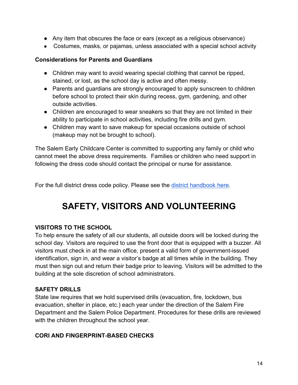- Any item that obscures the face or ears (except as a religious observance)
- Costumes, masks, or pajamas, unless associated with a special school activity

#### **Considerations for Parents and Guardians**

- Children may want to avoid wearing special clothing that cannot be ripped, stained, or lost, as the school day is active and often messy.
- Parents and guardians are strongly encouraged to apply sunscreen to children before school to protect their skin during recess, gym, gardening, and other outside activities.
- Children are encouraged to wear sneakers so that they are not limited in their ability to participate in school activities, including fire drills and gym.
- Children may want to save makeup for special occasions outside of school (makeup may not be brought to school).

The Salem Early Childcare Center is committed to supporting any family or child who cannot meet the above dress requirements. Families or children who need support in following the dress code should contact the principal or nurse for assistance.

For the full district dress code policy. Please see the district handbook here.

### **SAFETY, VISITORS AND VOLUNTEERING**

#### **VISITORS TO THE SCHOOL**

To help ensure the safety of all our students, all outside doors will be locked during the school day. Visitors are required to use the front door that is equipped with a buzzer. All visitors must check in at the main office, present a valid form of government-issued identification, sign in, and wear a visitor's badge at all times while in the building. They must then sign out and return their badge prior to leaving. Visitors will be admitted to the building at the sole discretion of school administrators.

#### **SAFETY DRILLS**

State law requires that we hold supervised drills (evacuation, fire, lockdown, bus evacuation, shelter in place, etc.) each year under the direction of the Salem Fire Department and the Salem Police Department. Procedures for these drills are reviewed with the children throughout the school year.

#### **CORI AND FINGERPRINT-BASED CHECKS**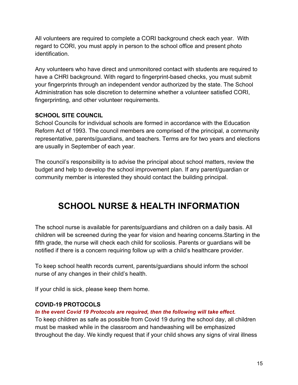All volunteers are required to complete a CORI background check each year. With regard to CORI, you must apply in person to the school office and present photo identification.

Any volunteers who have direct and unmonitored contact with students are required to have a CHRI background. With regard to fingerprint-based checks, you must submit your fingerprints through an independent vendor authorized by the state. The School Administration has sole discretion to determine whether a volunteer satisfied CORI, fingerprinting, and other volunteer requirements.

#### **SCHOOL SITE COUNCIL**

School Councils for individual schools are formed in accordance with the Education Reform Act of 1993. The council members are comprised of the principal, a community representative, parents/guardians, and teachers. Terms are for two years and elections are usually in September of each year.

The council's responsibility is to advise the principal about school matters, review the budget and help to develop the school improvement plan. If any parent/guardian or community member is interested they should contact the building principal.

### **SCHOOL NURSE & HEALTH INFORMATION**

The school nurse is available for parents/guardians and children on a daily basis. All children will be screened during the year for vision and hearing concerns.Starting in the fifth grade, the nurse will check each child for scoliosis. Parents or guardians will be notified if there is a concern requiring follow up with a child's healthcare provider.

To keep school health records current, parents/guardians should inform the school nurse of any changes in their child's health.

If your child is sick, please keep them home.

#### **COVID-19 PROTOCOLS**

#### *In the event Covid 19 Protocols are required, then the following will take effect.*

To keep children as safe as possible from Covid 19 during the school day, all children must be masked while in the classroom and handwashing will be emphasized throughout the day. We kindly request that if your child shows any signs of viral illness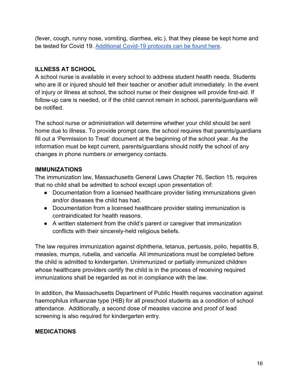(fever, cough, runny nose, vomiting, diarrhea, etc.), that they please be kept home and be tested for Covid 19. Additional Covid-19 protocols can be found here.

#### **ILLNESS AT SCHOOL**

A school nurse is available in every school to address student health needs. Students who are ill or injured should tell their teacher or another adult immediately. In the event of injury or illness at school, the school nurse or their designee will provide first-aid. If follow-up care is needed, or if the child cannot remain in school, parents/guardians will be notified.

The school nurse or administration will determine whether your child should be sent home due to illness. To provide prompt care, the school requires that parents/guardians fill out a 'Permission to Treat' document at the beginning of the school year. As the information must be kept current, parents/guardians should notify the school of any changes in phone numbers or emergency contacts.

#### **IMMUNIZATIONS**

The immunization law, Massachusetts General Laws Chapter 76, Section 15, requires that no child shall be admitted to school except upon presentation of:

- Documentation from a licensed healthcare provider listing immunizations given and/or diseases the child has had.
- Documentation from a licensed healthcare provider stating immunization is contraindicated for health reasons.
- A written statement from the child's parent or caregiver that immunization conflicts with their sincerely-held religious beliefs.

The law requires immunization against diphtheria, tetanus, pertussis, polio, hepatitis B, measles, mumps, rubella, and varicella. All immunizations must be completed before the child is admitted to kindergarten. Unimmunized or partially immunized children whose healthcare providers certify the child is in the process of receiving required immunizations shall be regarded as not in compliance with the law.

In addition, the Massachusetts Department of Public Health requires vaccination against haemophilus influenzae type (HIB) for all preschool students as a condition of school attendance. Additionally, a second dose of measles vaccine and proof of lead screening is also required for kindergarten entry.

#### **MEDICATIONS**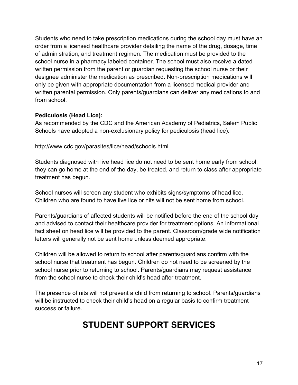Students who need to take prescription medications during the school day must have an order from a licensed healthcare provider detailing the name of the drug, dosage, time of administration, and treatment regimen. The medication must be provided to the school nurse in a pharmacy labeled container. The school must also receive a dated written permission from the parent or guardian requesting the school nurse or their designee administer the medication as prescribed. Non-prescription medications will only be given with appropriate documentation from a licensed medical provider and written parental permission. Only parents/guardians can deliver any medications to and from school.

#### **Pediculosis (Head Lice):**

As recommended by the CDC and the American Academy of Pediatrics, Salem Public Schools have adopted a non-exclusionary policy for pediculosis (head lice).

http://www.cdc.gov/parasites/lice/head/schools.html

Students diagnosed with live head lice do not need to be sent home early from school; they can go home at the end of the day, be treated, and return to class after appropriate treatment has begun.

School nurses will screen any student who exhibits signs/symptoms of head lice. Children who are found to have live lice or nits will not be sent home from school.

Parents/guardians of affected students will be notified before the end of the school day and advised to contact their healthcare provider for treatment options. An informational fact sheet on head lice will be provided to the parent. Classroom/grade wide notification letters will generally not be sent home unless deemed appropriate.

Children will be allowed to return to school after parents/guardians confirm with the school nurse that treatment has begun. Children do not need to be screened by the school nurse prior to returning to school. Parents/guardians may request assistance from the school nurse to check their child's head after treatment.

The presence of nits will not prevent a child from returning to school. Parents/guardians will be instructed to check their child's head on a regular basis to confirm treatment success or failure.

### **STUDENT SUPPORT SERVICES**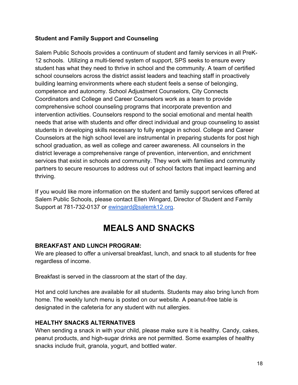#### **Student and Family Support and Counseling**

Salem Public Schools provides a continuum of student and family services in all PreK-12 schools. Utilizing a multi-tiered system of support, SPS seeks to ensure every student has what they need to thrive in school and the community. A team of certified school counselors across the district assist leaders and teaching staff in proactively building learning environments where each student feels a sense of belonging, competence and autonomy*.* School Adjustment Counselors, City Connects Coordinators and College and Career Counselors work as a team to provide comprehensive school counseling programs that incorporate prevention and intervention activities. Counselors respond to the social emotional and mental health needs that arise with students and offer direct individual and group counseling to assist students in developing skills necessary to fully engage in school. College and Career Counselors at the high school level are instrumental in preparing students for post high school graduation, as well as college and career awareness. All counselors in the district leverage a comprehensive range of prevention, intervention, and enrichment services that exist in schools and community. They work with families and community partners to secure resources to address out of school factors that impact learning and thriving.

If you would like more information on the student and family support services offered at Salem Public Schools, please contact Ellen Wingard, Director of Student and Family Support at 781-732-0137 or ewingard@salemk12.org.

### **MEALS AND SNACKS**

#### **BREAKFAST AND LUNCH PROGRAM:**

We are pleased to offer a universal breakfast, lunch, and snack to all students for free regardless of income.

Breakfast is served in the classroom at the start of the day.

Hot and cold lunches are available for all students. Students may also bring lunch from home. The weekly lunch menu is posted on our website. A peanut-free table is designated in the cafeteria for any student with nut allergies.

#### **HEALTHY SNACKS ALTERNATIVES**

When sending a snack in with your child, please make sure it is healthy. Candy, cakes, peanut products, and high-sugar drinks are not permitted. Some examples of healthy snacks include fruit, granola, yogurt, and bottled water.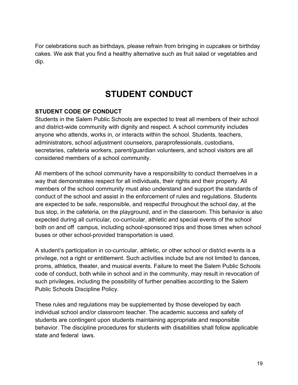For celebrations such as birthdays, please refrain from bringing in cupcakes or birthday cakes. We ask that you find a healthy alternative such as fruit salad or vegetables and dip.

### **STUDENT CONDUCT**

#### **STUDENT CODE OF CONDUCT**

Students in the Salem Public Schools are expected to treat all members of their school and district-wide community with dignity and respect. A school community includes anyone who attends, works in, or interacts within the school. Students, teachers, administrators, school adjustment counselors, paraprofessionals, custodians, secretaries, cafeteria workers, parent/guardian volunteers, and school visitors are all considered members of a school community.

All members of the school community have a responsibility to conduct themselves in a way that demonstrates respect for all individuals, their rights and their property. All members of the school community must also understand and support the standards of conduct of the school and assist in the enforcement of rules and regulations. Students are expected to be safe, responsible, and respectful throughout the school day, at the bus stop, in the cafeteria, on the playground, and in the classroom. This behavior is also expected during all curricular, co-curricular, athletic and special events of the school both on and off campus, including school-sponsored trips and those times when school buses or other school-provided transportation is used.

A student's participation in co-curricular, athletic, or other school or district events is a privilege, not a right or entitlement. Such activities include but are not limited to dances, proms, athletics, theater, and musical events. Failure to meet the Salem Public Schools code of conduct, both while in school and in the community, may result in revocation of such privileges, including the possibility of further penalties according to the Salem Public Schools Discipline Policy.

These rules and regulations may be supplemented by those developed by each individual school and/or classroom teacher. The academic success and safety of students are contingent upon students maintaining appropriate and responsible behavior. The discipline procedures for students with disabilities shall follow applicable state and federal laws.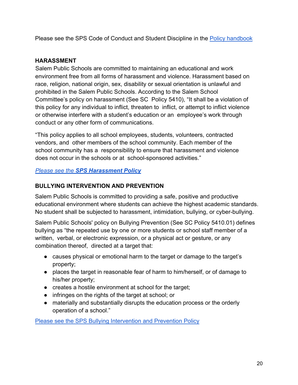Please see the SPS Code of Conduct and Student Discipline in the Policy handbook

#### **HARASSMENT**

Salem Public Schools are committed to maintaining an educational and work environment free from all forms of harassment and violence. Harassment based on race, religion, national origin, sex, disability or sexual orientation is unlawful and prohibited in the Salem Public Schools. According to the Salem School Committee's policy on harassment (See SC Policy 5410), "It shall be a violation of this policy for any individual to inflict, threaten to inflict, or attempt to inflict violence or otherwise interfere with a student's education or an employee's work through conduct or any other form of communications.

"This policy applies to all school employees, students, volunteers, contracted vendors, and other members of the school community. Each member of the school community has a responsibility to ensure that harassment and violence does not occur in the schools or at school-sponsored activities."

#### *Please see the SPS Harassment Policy*

#### **BULLYING INTERVENTION AND PREVENTION**

Salem Public Schools is committed to providing a safe, positive and productive educational environment where students can achieve the highest academic standards. No student shall be subjected to harassment, intimidation, bullying, or cyber-bullying.

Salem Public Schools' policy on Bullying Prevention (See SC Policy 5410.01) defines bullying as "the repeated use by one or more students or school staff member of a written, verbal, or electronic expression, or a physical act or gesture, or any combination thereof, directed at a target that:

- causes physical or emotional harm to the target or damage to the target's property;
- places the target in reasonable fear of harm to him/herself, or of damage to his/her property;
- creates a hostile environment at school for the target;
- infringes on the rights of the target at school; or
- materially and substantially disrupts the education process or the orderly operation of a school."

Please see the SPS Bullying Intervention and Prevention Policy